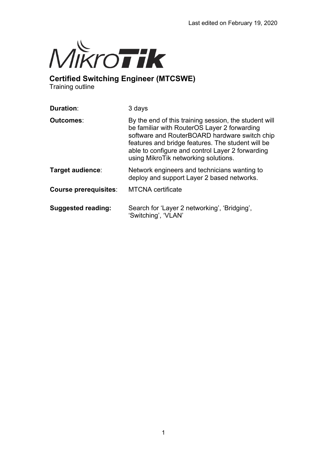

**Certified Switching Engineer (MTCSWE)**

Training outline

| <b>Duration:</b>             | 3 days                                                                                                                                                                                                                                                                                                  |
|------------------------------|---------------------------------------------------------------------------------------------------------------------------------------------------------------------------------------------------------------------------------------------------------------------------------------------------------|
| Outcomes∶                    | By the end of this training session, the student will<br>be familiar with RouterOS Layer 2 forwarding<br>software and RouterBOARD hardware switch chip<br>features and bridge features. The student will be<br>able to configure and control Layer 2 forwarding<br>using MikroTik networking solutions. |
| Target audience:             | Network engineers and technicians wanting to<br>deploy and support Layer 2 based networks.                                                                                                                                                                                                              |
| <b>Course prerequisites:</b> | <b>MTCNA</b> certificate                                                                                                                                                                                                                                                                                |
| <b>Suggested reading:</b>    | Search for 'Layer 2 networking', 'Bridging',<br>'Switching', 'VLAN'                                                                                                                                                                                                                                     |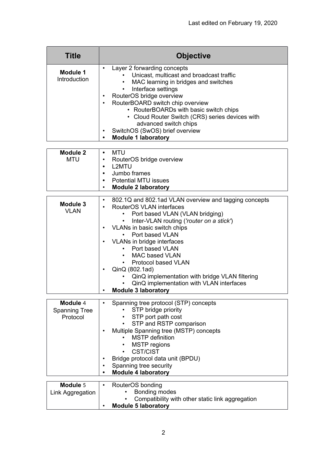| <b>Title</b>                    | <b>Objective</b>                                                                                                                                                                                                                                                                                                                                                                                                                   |
|---------------------------------|------------------------------------------------------------------------------------------------------------------------------------------------------------------------------------------------------------------------------------------------------------------------------------------------------------------------------------------------------------------------------------------------------------------------------------|
| <b>Module 1</b><br>Introduction | Layer 2 forwarding concepts<br>Unicast, multicast and broadcast traffic<br>MAC learning in bridges and switches<br>$\bullet$<br>Interface settings<br>$\bullet$<br>RouterOS bridge overview<br>RouterBOARD switch chip overview<br>$\bullet$<br>• RouterBOARDs with basic switch chips<br>• Cloud Router Switch (CRS) series devices with<br>advanced switch chips<br>SwitchOS (SwOS) brief overview<br><b>Module 1 laboratory</b> |
| <b>Module 2</b>                 | <b>MTU</b><br>$\bullet$                                                                                                                                                                                                                                                                                                                                                                                                            |
| <b>MTU</b>                      | RouterOS bridge overview<br>$\bullet$                                                                                                                                                                                                                                                                                                                                                                                              |
|                                 | <b>L2MTU</b><br>$\bullet$<br>Jumbo frames<br>$\bullet$                                                                                                                                                                                                                                                                                                                                                                             |
|                                 | <b>Potential MTU issues</b>                                                                                                                                                                                                                                                                                                                                                                                                        |
|                                 | <b>Module 2 laboratory</b>                                                                                                                                                                                                                                                                                                                                                                                                         |
|                                 | 802.1Q and 802.1ad VLAN overview and tagging concepts                                                                                                                                                                                                                                                                                                                                                                              |
| <b>Module 3</b><br><b>VLAN</b>  | RouterOS VLAN interfaces                                                                                                                                                                                                                                                                                                                                                                                                           |
|                                 | Port based VLAN (VLAN bridging)<br>Inter-VLAN routing ('router on a stick')<br>$\bullet$                                                                                                                                                                                                                                                                                                                                           |
|                                 | VLANs in basic switch chips                                                                                                                                                                                                                                                                                                                                                                                                        |
|                                 | • Port based VLAN                                                                                                                                                                                                                                                                                                                                                                                                                  |
|                                 | VLANs in bridge interfaces<br>Port based VLAN                                                                                                                                                                                                                                                                                                                                                                                      |
|                                 | <b>MAC based VLAN</b>                                                                                                                                                                                                                                                                                                                                                                                                              |
|                                 | <b>Protocol based VLAN</b>                                                                                                                                                                                                                                                                                                                                                                                                         |
|                                 | QinQ (802.1ad)                                                                                                                                                                                                                                                                                                                                                                                                                     |
|                                 | QinQ implementation with bridge VLAN filtering<br>QinQ implementation with VLAN interfaces                                                                                                                                                                                                                                                                                                                                         |
|                                 | <b>Module 3 laboratory</b>                                                                                                                                                                                                                                                                                                                                                                                                         |
| Module 4                        |                                                                                                                                                                                                                                                                                                                                                                                                                                    |
| <b>Spanning Tree</b>            | Spanning tree protocol (STP) concepts<br>STP bridge priority                                                                                                                                                                                                                                                                                                                                                                       |
| Protocol                        | • STP port path cost                                                                                                                                                                                                                                                                                                                                                                                                               |
|                                 | STP and RSTP comparison                                                                                                                                                                                                                                                                                                                                                                                                            |
|                                 | Multiple Spanning tree (MSTP) concepts<br><b>MSTP</b> definition                                                                                                                                                                                                                                                                                                                                                                   |
|                                 | <b>MSTP</b> regions                                                                                                                                                                                                                                                                                                                                                                                                                |
|                                 | <b>CST/CIST</b>                                                                                                                                                                                                                                                                                                                                                                                                                    |
|                                 | Bridge protocol data unit (BPDU)                                                                                                                                                                                                                                                                                                                                                                                                   |
|                                 | Spanning tree security<br><b>Module 4 laboratory</b>                                                                                                                                                                                                                                                                                                                                                                               |
|                                 |                                                                                                                                                                                                                                                                                                                                                                                                                                    |
| Module 5                        | RouterOS bonding<br>Bonding modes                                                                                                                                                                                                                                                                                                                                                                                                  |
| Link Aggregation                | Compatibility with other static link aggregation                                                                                                                                                                                                                                                                                                                                                                                   |
|                                 | <b>Module 5 laboratory</b>                                                                                                                                                                                                                                                                                                                                                                                                         |